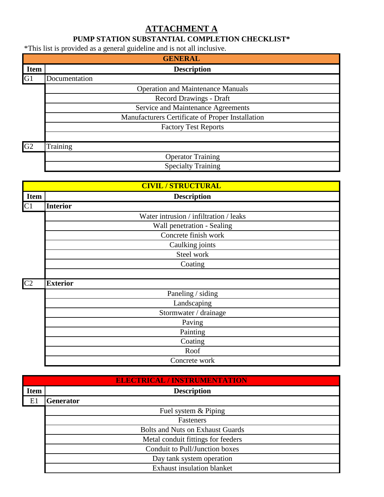## **ATTACHMENT A**

## **PUMP STATION SUBSTANTIAL COMPLETION CHECKLIST\***

\*This list is provided as a general guideline and is not all inclusive.

| ັ<br><b>GENERAL</b> |                                                  |  |
|---------------------|--------------------------------------------------|--|
| <b>Item</b>         | <b>Description</b>                               |  |
| G1                  | Documentation                                    |  |
|                     | <b>Operation and Maintenance Manuals</b>         |  |
|                     | Record Drawings - Draft                          |  |
|                     | Service and Maintenance Agreements               |  |
|                     | Manufacturers Certificate of Proper Installation |  |
|                     | <b>Factory Test Reports</b>                      |  |
|                     |                                                  |  |
| G2                  | Training                                         |  |
|                     | <b>Operator Training</b>                         |  |
|                     | <b>Specialty Training</b>                        |  |

|                | <b>CIVIL / STRUCTURAL</b>              |  |
|----------------|----------------------------------------|--|
| <b>Item</b>    | <b>Description</b>                     |  |
| C1             | <b>Interior</b>                        |  |
|                | Water intrusion / infiltration / leaks |  |
|                | Wall penetration - Sealing             |  |
|                | Concrete finish work                   |  |
|                | Caulking joints                        |  |
|                | Steel work                             |  |
|                | Coating                                |  |
|                |                                        |  |
| C <sub>2</sub> | <b>Exterior</b>                        |  |
|                | Paneling / siding                      |  |
|                | Landscaping                            |  |
|                | Stormwater / drainage                  |  |
|                | Paving                                 |  |
|                | Painting                               |  |
|                | Coating                                |  |
|                | Roof                                   |  |
|                | Concrete work                          |  |

| <b>ELECTRICAL / INSTRUMENTATION</b> |                  |                                         |  |
|-------------------------------------|------------------|-----------------------------------------|--|
| <b>Item</b>                         |                  | <b>Description</b>                      |  |
| E1                                  | <b>Generator</b> |                                         |  |
|                                     |                  | Fuel system & Piping                    |  |
|                                     |                  | Fasteners                               |  |
|                                     |                  | <b>Bolts and Nuts on Exhaust Guards</b> |  |
|                                     |                  | Metal conduit fittings for feeders      |  |
|                                     |                  | Conduit to Pull/Junction boxes          |  |
|                                     |                  | Day tank system operation               |  |
|                                     |                  | <b>Exhaust insulation blanket</b>       |  |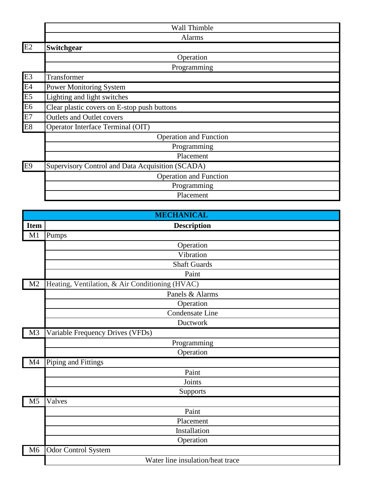|                | Wall Thimble                                     |
|----------------|--------------------------------------------------|
|                | <b>Alarms</b>                                    |
| E2             | Switchgear                                       |
|                | Operation                                        |
|                | Programming                                      |
| E <sub>3</sub> | Transformer                                      |
| E4             | <b>Power Monitoring System</b>                   |
| E5             | Lighting and light switches                      |
| E <sub>6</sub> | Clear plastic covers on E-stop push buttons      |
| E7             | <b>Outlets and Outlet covers</b>                 |
| E8             | Operator Interface Terminal (OIT)                |
|                | <b>Operation and Function</b>                    |
|                | Programming                                      |
|                | Placement                                        |
| E9             | Supervisory Control and Data Acquisition (SCADA) |
|                | <b>Operation and Function</b>                    |
|                | Programming                                      |
|                | Placement                                        |

| <b>MECHANICAL</b> |                                                 |
|-------------------|-------------------------------------------------|
| <b>Item</b>       | <b>Description</b>                              |
| M1                | Pumps                                           |
|                   | Operation                                       |
|                   | Vibration                                       |
|                   | <b>Shaft Guards</b>                             |
|                   | Paint                                           |
| M <sub>2</sub>    | Heating, Ventilation, & Air Conditioning (HVAC) |
|                   | Panels & Alarms                                 |
|                   | Operation                                       |
|                   | Condensate Line                                 |
|                   | Ductwork                                        |
| M <sub>3</sub>    | Variable Frequency Drives (VFDs)                |
|                   | Programming                                     |
|                   | Operation                                       |
| M <sub>4</sub>    | Piping and Fittings                             |
|                   | Paint                                           |
|                   | Joints                                          |
|                   | Supports                                        |
| M <sub>5</sub>    | Valves                                          |
|                   | Paint                                           |
|                   | Placement                                       |
|                   | Installation                                    |
|                   | Operation                                       |
| M6                | <b>Odor Control System</b>                      |
|                   | Water line insulation/heat trace                |